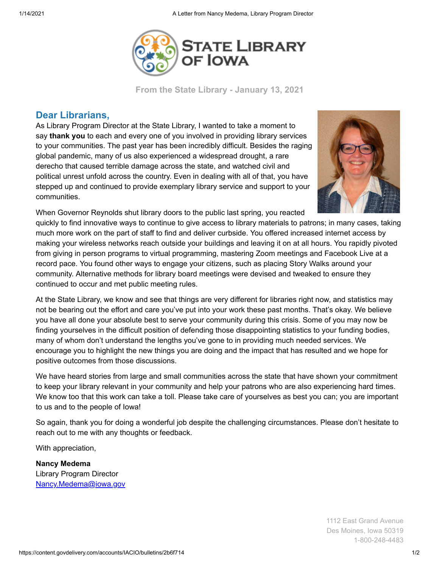

**From the State Library - January 13, 2021**

## **Dear Librarians,**

As Library Program Director at the State Library, I wanted to take a moment to say **thank you** to each and every one of you involved in providing library services to your communities. The past year has been incredibly difficult. Besides the raging global pandemic, many of us also experienced a widespread drought, a rare derecho that caused terrible damage across the state, and watched civil and political unrest unfold across the country. Even in dealing with all of that, you have stepped up and continued to provide exemplary library service and support to your communities.



When Governor Reynolds shut library doors to the public last spring, you reacted

quickly to find innovative ways to continue to give access to library materials to patrons; in many cases, taking much more work on the part of staff to find and deliver curbside. You offered increased internet access by making your wireless networks reach outside your buildings and leaving it on at all hours. You rapidly pivoted from giving in person programs to virtual programming, mastering Zoom meetings and Facebook Live at a record pace. You found other ways to engage your citizens, such as placing Story Walks around your community. Alternative methods for library board meetings were devised and tweaked to ensure they continued to occur and met public meeting rules.

At the State Library, we know and see that things are very different for libraries right now, and statistics may not be bearing out the effort and care you've put into your work these past months. That's okay. We believe you have all done your absolute best to serve your community during this crisis. Some of you may now be finding yourselves in the difficult position of defending those disappointing statistics to your funding bodies, many of whom don't understand the lengths you've gone to in providing much needed services. We encourage you to highlight the new things you are doing and the impact that has resulted and we hope for positive outcomes from those discussions.

We have heard stories from large and small communities across the state that have shown your commitment to keep your library relevant in your community and help your patrons who are also experiencing hard times. We know too that this work can take a toll. Please take care of yourselves as best you can; you are important to us and to the people of Iowa!

So again, thank you for doing a wonderful job despite the challenging circumstances. Please don't hesitate to reach out to me with any thoughts or feedback.

With appreciation,

**Nancy Medema** Library Program Director [Nancy.Medema@iowa.gov](mailto:Nancy.Medema@iowa.gov)

> 1112 East Grand Avenue Des Moines, Iowa 50319 1-800-248-4483